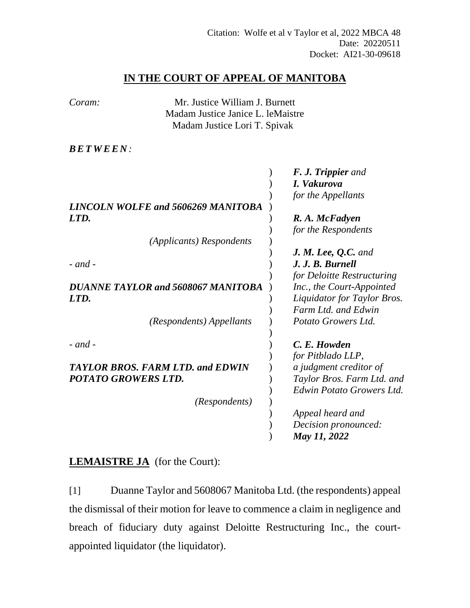## **IN THE COURT OF APPEAL OF MANITOBA**

| Coram:                             | Mr. Justice William J. Burnett          |                             |
|------------------------------------|-----------------------------------------|-----------------------------|
|                                    | Madam Justice Janice L. leMaistre       |                             |
|                                    | Madam Justice Lori T. Spivak            |                             |
|                                    |                                         |                             |
| <i>BETWEEN:</i>                    |                                         |                             |
|                                    |                                         |                             |
|                                    |                                         | <b>F. J. Trippier</b> and   |
|                                    |                                         | I. Vakurova                 |
|                                    |                                         | for the Appellants          |
|                                    | LINCOLN WOLFE and 5606269 MANITOBA      |                             |
| LTD.                               |                                         | R. A. McFadyen              |
|                                    |                                         | for the Respondents         |
|                                    | (Applicants) Respondents                |                             |
|                                    |                                         | J. M. Lee, Q.C. and         |
| $-$ and $-$                        |                                         | J. J. B. Burnell            |
|                                    |                                         | for Deloitte Restructuring  |
| DUANNE TAYLOR and 5608067 MANITOBA |                                         | Inc., the Court-Appointed   |
| LTD.                               |                                         | Liquidator for Taylor Bros. |
|                                    |                                         | Farm Ltd. and Edwin         |
|                                    | (Respondents) Appellants                | Potato Growers Ltd.         |
|                                    |                                         |                             |
| $-$ and $-$                        |                                         | C. E. Howden                |
|                                    |                                         | for Pitblado LLP,           |
|                                    | <b>TAYLOR BROS. FARM LTD. and EDWIN</b> | a judgment creditor of      |
| POTATO GROWERS LTD.                |                                         | Taylor Bros. Farm Ltd. and  |
|                                    |                                         | Edwin Potato Growers Ltd.   |
|                                    | (Respondents)                           |                             |
|                                    |                                         | Appeal heard and            |
|                                    |                                         | Decision pronounced:        |
|                                    |                                         | May 11, 2022                |
|                                    |                                         |                             |

## **LEMAISTRE JA** (for the Court):

[1] Duanne Taylor and 5608067 Manitoba Ltd. (the respondents) appeal the dismissal of their motion for leave to commence a claim in negligence and breach of fiduciary duty against Deloitte Restructuring Inc., the courtappointed liquidator (the liquidator).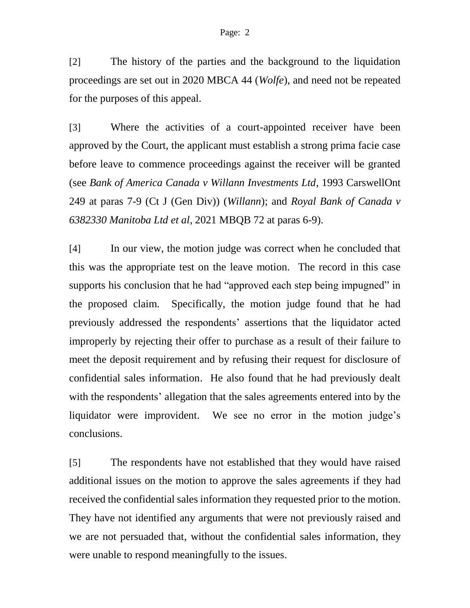[2] The history of the parties and the background to the liquidation proceedings are set out in 2020 MBCA 44 (*Wolfe*), and need not be repeated for the purposes of this appeal.

[3] Where the activities of a court-appointed receiver have been approved by the Court, the applicant must establish a strong prima facie case before leave to commence proceedings against the receiver will be granted (see *Bank of America Canada v Willann Investments Ltd*, 1993 CarswellOnt 249 at paras 7-9 (Ct J (Gen Div)) (*Willann*); and *Royal Bank of Canada v 6382330 Manitoba Ltd et al*, 2021 MBQB 72 at paras 6-9).

[4] In our view, the motion judge was correct when he concluded that this was the appropriate test on the leave motion. The record in this case supports his conclusion that he had "approved each step being impugned" in the proposed claim. Specifically, the motion judge found that he had previously addressed the respondents' assertions that the liquidator acted improperly by rejecting their offer to purchase as a result of their failure to meet the deposit requirement and by refusing their request for disclosure of confidential sales information. He also found that he had previously dealt with the respondents' allegation that the sales agreements entered into by the liquidator were improvident. We see no error in the motion judge's conclusions.

[5] The respondents have not established that they would have raised additional issues on the motion to approve the sales agreements if they had received the confidential sales information they requested prior to the motion. They have not identified any arguments that were not previously raised and we are not persuaded that, without the confidential sales information, they were unable to respond meaningfully to the issues.